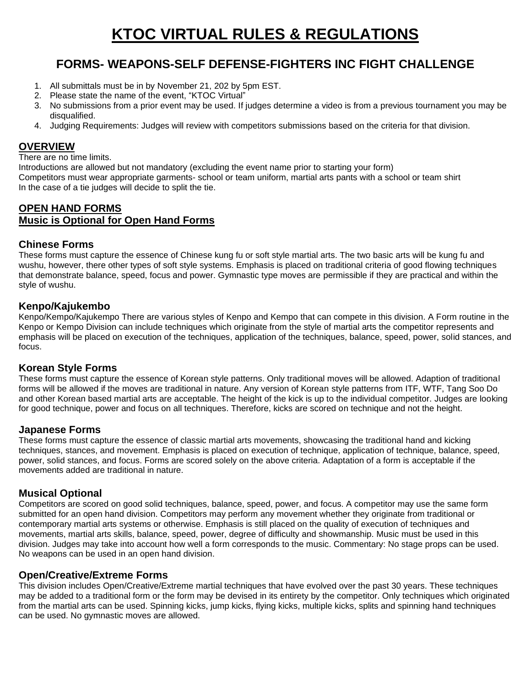# **KTOC VIRTUAL RULES & REGULATIONS**

# **FORMS- WEAPONS-SELF DEFENSE-FIGHTERS INC FIGHT CHALLENGE**

- 1. All submittals must be in by November 21, 202 by 5pm EST.
- 2. Please state the name of the event, "KTOC Virtual"
- 3. No submissions from a prior event may be used. If judges determine a video is from a previous tournament you may be disqualified.
- 4. Judging Requirements: Judges will review with competitors submissions based on the criteria for that division.

#### **OVERVIEW**

There are no time limits.

Introductions are allowed but not mandatory (excluding the event name prior to starting your form) Competitors must wear appropriate garments- school or team uniform, martial arts pants with a school or team shirt In the case of a tie judges will decide to split the tie.

# **OPEN HAND FORMS Music is Optional for Open Hand Forms**

#### **Chinese Forms**

These forms must capture the essence of Chinese kung fu or soft style martial arts. The two basic arts will be kung fu and wushu, however, there other types of soft style systems. Emphasis is placed on traditional criteria of good flowing techniques that demonstrate balance, speed, focus and power. Gymnastic type moves are permissible if they are practical and within the style of wushu.

#### **Kenpo/Kajukembo**

Kenpo/Kempo/Kajukempo There are various styles of Kenpo and Kempo that can compete in this division. A Form routine in the Kenpo or Kempo Division can include techniques which originate from the style of martial arts the competitor represents and emphasis will be placed on execution of the techniques, application of the techniques, balance, speed, power, solid stances, and focus.

#### **Korean Style Forms**

These forms must capture the essence of Korean style patterns. Only traditional moves will be allowed. Adaption of traditional forms will be allowed if the moves are traditional in nature. Any version of Korean style patterns from ITF, WTF, Tang Soo Do and other Korean based martial arts are acceptable. The height of the kick is up to the individual competitor. Judges are looking for good technique, power and focus on all techniques. Therefore, kicks are scored on technique and not the height.

#### **Japanese Forms**

These forms must capture the essence of classic martial arts movements, showcasing the traditional hand and kicking techniques, stances, and movement. Emphasis is placed on execution of technique, application of technique, balance, speed, power, solid stances, and focus. Forms are scored solely on the above criteria. Adaptation of a form is acceptable if the movements added are traditional in nature.

#### **Musical Optional**

Competitors are scored on good solid techniques, balance, speed, power, and focus. A competitor may use the same form submitted for an open hand division. Competitors may perform any movement whether they originate from traditional or contemporary martial arts systems or otherwise. Emphasis is still placed on the quality of execution of techniques and movements, martial arts skills, balance, speed, power, degree of difficulty and showmanship. Music must be used in this division. Judges may take into account how well a form corresponds to the music. Commentary: No stage props can be used. No weapons can be used in an open hand division.

#### **Open/Creative/Extreme Forms**

This division includes Open/Creative/Extreme martial techniques that have evolved over the past 30 years. These techniques may be added to a traditional form or the form may be devised in its entirety by the competitor. Only techniques which originated from the martial arts can be used. Spinning kicks, jump kicks, flying kicks, multiple kicks, splits and spinning hand techniques can be used. No gymnastic moves are allowed.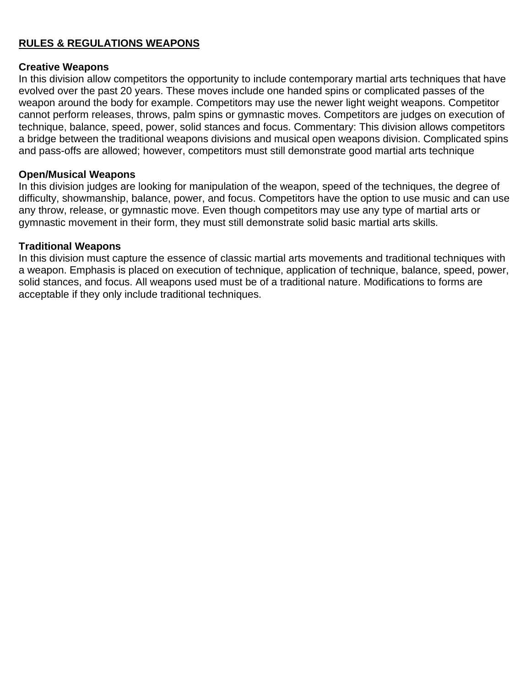#### **RULES & REGULATIONS WEAPONS**

#### **Creative Weapons**

In this division allow competitors the opportunity to include contemporary martial arts techniques that have evolved over the past 20 years. These moves include one handed spins or complicated passes of the weapon around the body for example. Competitors may use the newer light weight weapons. Competitor cannot perform releases, throws, palm spins or gymnastic moves. Competitors are judges on execution of technique, balance, speed, power, solid stances and focus. Commentary: This division allows competitors a bridge between the traditional weapons divisions and musical open weapons division. Complicated spins and pass-offs are allowed; however, competitors must still demonstrate good martial arts technique

#### **Open/Musical Weapons**

In this division judges are looking for manipulation of the weapon, speed of the techniques, the degree of difficulty, showmanship, balance, power, and focus. Competitors have the option to use music and can use any throw, release, or gymnastic move. Even though competitors may use any type of martial arts or gymnastic movement in their form, they must still demonstrate solid basic martial arts skills.

#### **Traditional Weapons**

In this division must capture the essence of classic martial arts movements and traditional techniques with a weapon. Emphasis is placed on execution of technique, application of technique, balance, speed, power, solid stances, and focus. All weapons used must be of a traditional nature. Modifications to forms are acceptable if they only include traditional techniques.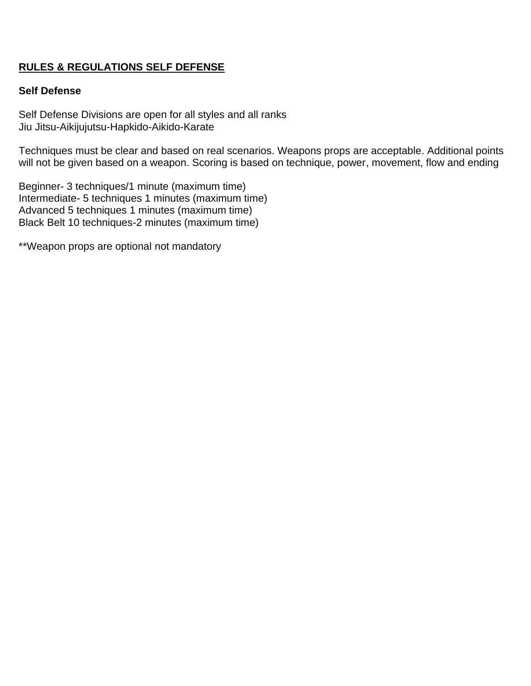## **RULES & REGULATIONS SELF DEFENSE**

#### **Self Defense**

Self Defense Divisions are open for all styles and all ranks Jiu Jitsu-Aikijujutsu-Hapkido-Aikido-Karate

Techniques must be clear and based on real scenarios. Weapons props are acceptable. Additional points will not be given based on a weapon. Scoring is based on technique, power, movement, flow and ending

Beginner- 3 techniques/1 minute (maximum time) Intermediate- 5 techniques 1 minutes (maximum time) Advanced 5 techniques 1 minutes (maximum time) Black Belt 10 techniques-2 minutes (maximum time)

\*\*Weapon props are optional not mandatory